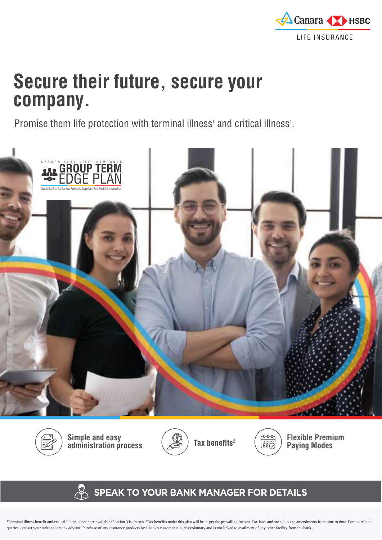

# **Secure their future, secure your company.**

Promise them life protection with terminal illness<sup>1</sup> and critical illness<sup>1</sup>.





**Simple and easy administration process Tax benefits2**





**Flexible Premium Paying Modes**

# **SPEAK TO YOUR BANK MANAGER FOR DETAILS**

Terminal illness benefit and critical illness benefit are available if option 3 is chosen. <sup>2</sup>Tax benefits under this plan will be as per the prevailing Income Tax laws and are subject to amendments from time to time. For queries, contact your independent tax advisor. Purchase of any insurance products by a bank's customer is purelyvoluntary and is not linked to availment of any other facility from the bank.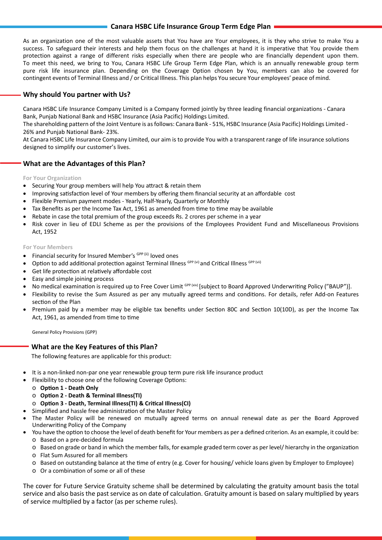# **Canara HSBC Life Insurance Group Term Edge Plan**

As an organization one of the most valuable assets that You have are Your employees, it is they who strive to make You a success. To safeguard their interests and help them focus on the challenges at hand it is imperative that You provide them protection against a range of different risks especially when there are people who are financially dependent upon them. To meet this need, we bring to You, Canara HSBC Life Group Term Edge Plan, which is an annually renewable group term pure risk life insurance plan. Depending on the Coverage Option chosen by You, members can also be covered for contingent events of Terminal Illness and / or Critical Illness. This plan helps You secure Your employees' peace of mind.

# **Why should You partner with Us?**

Canara HSBC Life Insurance Company Limited is a Company formed jointly by three leading financial organizations - Canara Bank, Punjab National Bank and HSBC Insurance (Asia Pacific) Holdings Limited.

The shareholding pattern of the Joint Venture is as follows: Canara Bank - 51%, HSBC Insurance (Asia Pacific) Holdings Limited - 26% and Punjab National Bank- 23%.

At Canara HSBC Life Insurance Company Limited, our aim is to provide You with a transparent range of life insurance solutions designed to simplify our customer's lives.

# **What are the Advantages of this Plan?**

**For Your Organization**

- Securing Your group members will help You attract & retain them
- Improving satisfaction level of Your members by offering them financial security at an affordable cost
- Flexible Premium payment modes Yearly, Half-Yearly, Quarterly or Monthly
- Tax Benefits as per the Income Tax Act, 1961 as amended from time to time may be available
- Rebate in case the total premium of the group exceeds Rs. 2 crores per scheme in a year
- Risk cover in lieu of EDLI Scheme as per the provisions of the Employees Provident Fund and Miscellaneous Provisions Act, 1952

#### **For Your Members**

- Financial security for Insured Member's GPP (ii) loved ones
- Option to add additional protection against Terminal Illness GPP (vi) and Critical Illness GPP (vii)
- Get life protection at relatively affordable cost
- Easy and simple joining process
- No medical examination is required up to Free Cover Limit GPP (xiv) [subject to Board Approved Underwriting Policy ("BAUP")].
- Flexibility to revise the Sum Assured as per any mutually agreed terms and conditions. For details, refer Add-on Features section of the Plan
- Premium paid by a member may be eligible tax benefits under Section 80C and Section 10(10D), as per the Income Tax Act, 1961, as amended from time to time

General Policy Provisions (GPP)

# **What are the Key Features of this Plan?**

The following features are applicable for this product:

- It is a non-linked non-par one year renewable group term pure risk life insurance product
- Flexibility to choose one of the following Coverage Options:
- o **Option 1 Death Only**
- o **Option 2 Death & Terminal Illness(TI)**
- o **Option 3 Death, Terminal Illness(TI) & Critical Illness(CI)**
- Simplified and hassle free administration of the Master Policy
- The Master Policy will be renewed on mutually agreed terms on annual renewal date as per the Board Approved Underwriting Policy of the Company
- You have the option to choose the level of death benefit for Your members as per a defined criterion. As an example, it could be: o Based on a pre-decided formula
	- o Based on grade or band in which the member falls, for example graded term cover as per level/ hierarchy in the organization
	- o Flat Sum Assured for all members
	- o Based on outstanding balance at the time of entry (e.g. Cover for housing/ vehicle loans given by Employer to Employee)
	- o Or a combination of some or all of these

The cover for Future Service Gratuity scheme shall be determined by calculating the gratuity amount basis the total service and also basis the past service as on date of calculation. Gratuity amount is based on salary multiplied by years of service multiplied by a factor (as per scheme rules).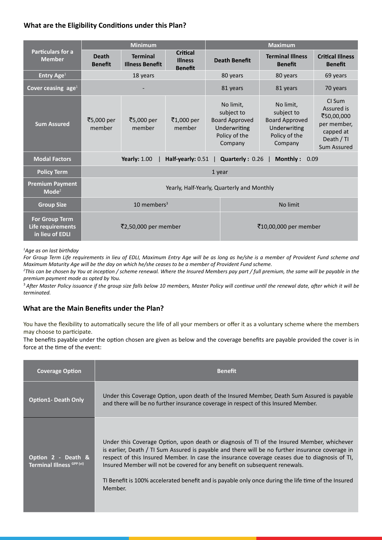# What are the Eligibility Conditions under this Plan?

| <b>Particulars for a</b><br><b>Member</b>                     | <b>Minimum</b>                                                                        |                                           |                                                     | <b>Maximum</b>                                                                               |                                                                                              |                                                                                             |
|---------------------------------------------------------------|---------------------------------------------------------------------------------------|-------------------------------------------|-----------------------------------------------------|----------------------------------------------------------------------------------------------|----------------------------------------------------------------------------------------------|---------------------------------------------------------------------------------------------|
|                                                               | <b>Death</b><br><b>Benefit</b>                                                        | <b>Terminal</b><br><b>Illness Benefit</b> | <b>Critical</b><br><b>Illness</b><br><b>Benefit</b> | <b>Death Benefit</b>                                                                         | <b>Terminal Illness</b><br><b>Benefit</b>                                                    | <b>Critical Illness</b><br><b>Benefit</b>                                                   |
| Entry Age <sup>1</sup>                                        | 18 years                                                                              |                                           |                                                     | 80 years                                                                                     | 80 years                                                                                     | 69 years                                                                                    |
| Cover ceasing $age1$                                          |                                                                                       |                                           |                                                     | 81 years                                                                                     | 81 years                                                                                     | 70 years                                                                                    |
| <b>Sum Assured</b>                                            | ₹5,000 per<br>member                                                                  | ₹5,000 per<br>member                      | ₹1,000 per<br>member                                | No limit.<br>subject to<br><b>Board Approved</b><br>Underwriting<br>Policy of the<br>Company | No limit.<br>subject to<br><b>Board Approved</b><br>Underwriting<br>Policy of the<br>Company | CI Sum<br>Assured is<br>₹50,00,000<br>per member,<br>capped at<br>Death / TI<br>Sum Assured |
| <b>Modal Factors</b>                                          | <b>Yearly: 1.00</b><br>Half-yearly: 0.51<br><b>Quarterly: 0.26</b><br>Monthly: $0.09$ |                                           |                                                     |                                                                                              |                                                                                              |                                                                                             |
| <b>Policy Term</b>                                            | 1 year                                                                                |                                           |                                                     |                                                                                              |                                                                                              |                                                                                             |
| <b>Premium Payment</b><br>$\mathbf{Mode}^2$                   | Yearly, Half-Yearly, Quarterly and Monthly                                            |                                           |                                                     |                                                                                              |                                                                                              |                                                                                             |
| <b>Group Size</b>                                             | 10 members $3$                                                                        |                                           |                                                     | No limit                                                                                     |                                                                                              |                                                                                             |
| <b>For Group Term</b><br>Life requirements<br>in lieu of EDLI |                                                                                       | ₹2,50,000 per member                      |                                                     | ₹10,00,000 per member                                                                        |                                                                                              |                                                                                             |

#### *1 Age as on last birthday*

*For Group Term Life requirements in lieu of EDLI, Maximum Entry Age will be as long as he/she is a member of Provident Fund scheme and Maximum Maturity Age will be the day on which he/she ceases to be a member of Provident Fund scheme.*

*2 This can be chosen by You at inception / scheme renewal. Where the Insured Members pay part / full premium, the same will be payable in the premium payment mode as opted by You.*

<sup>3</sup> After Master Policy issuance if the group size falls below 10 members, Master Policy will continue until the renewal date, after which it will be *terminated.* 

# **What are the Main Benefits under the Plan?**

You have the flexibility to automatically secure the life of all your members or offer it as a voluntary scheme where the members may choose to participate.

The benefits payable under the option chosen are given as below and the coverage benefits are payable provided the cover is in force at the time of the event:

| Coverage Option                                 | <b>Benefit</b>                                                                                                                                                                                                                                                                                                                                                                                                                                                                                  |
|-------------------------------------------------|-------------------------------------------------------------------------------------------------------------------------------------------------------------------------------------------------------------------------------------------------------------------------------------------------------------------------------------------------------------------------------------------------------------------------------------------------------------------------------------------------|
| <b>Option1- Death Only</b>                      | Under this Coverage Option, upon death of the Insured Member, Death Sum Assured is payable<br>and there will be no further insurance coverage in respect of this Insured Member.                                                                                                                                                                                                                                                                                                                |
| Option 2 - Death &<br>Terminal Illness GPP (vi) | Under this Coverage Option, upon death or diagnosis of TI of the Insured Member, whichever<br>is earlier, Death / TI Sum Assured is payable and there will be no further insurance coverage in<br>respect of this Insured Member. In case the insurance coverage ceases due to diagnosis of TI,<br>Insured Member will not be covered for any benefit on subsequent renewals.<br>TI Benefit is 100% accelerated benefit and is payable only once during the life time of the Insured<br>Member. |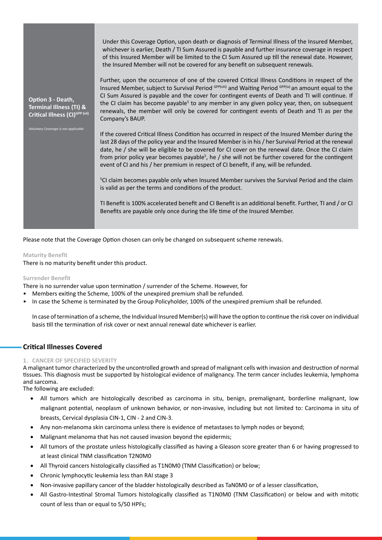| Under this Coverage Option, upon death or diagnosis of Terminal Illness of the Insured Member,<br>whichever is earlier, Death / TI Sum Assured is payable and further insurance coverage in respect<br>of this Insured Member will be limited to the CI Sum Assured up till the renewal date. However,<br>the Insured Member will not be covered for any benefit on subsequent renewals.                                                                                                                                                                         |
|------------------------------------------------------------------------------------------------------------------------------------------------------------------------------------------------------------------------------------------------------------------------------------------------------------------------------------------------------------------------------------------------------------------------------------------------------------------------------------------------------------------------------------------------------------------|
| Further, upon the occurrence of one of the covered Critical Illness Conditions in respect of the<br>Insured Member, subject to Survival Period <sup>GPP(viii)</sup> and Waiting Period <sup>GPP(ix)</sup> an amount equal to the<br>CI Sum Assured is payable and the cover for contingent events of Death and TI will continue. If<br>the CI claim has become payable <sup>5</sup> to any member in any given policy year, then, on subsequent<br>renewals, the member will only be covered for contingent events of Death and TI as per the<br>Company's BAUP. |
| If the covered Critical Illness Condition has occurred in respect of the Insured Member during the<br>last 28 days of the policy year and the Insured Member is in his / her Survival Period at the renewal<br>date, he / she will be eligible to be covered for CI cover on the renewal date. Once the CI claim<br>from prior policy year becomes payable <sup>5</sup> , he / she will not be further covered for the contingent<br>event of CI and his / her premium in respect of CI benefit, if any, will be refunded.                                       |
| <sup>5</sup> CI claim becomes payable only when Insured Member survives the Survival Period and the claim<br>is valid as per the terms and conditions of the product.                                                                                                                                                                                                                                                                                                                                                                                            |
| TI Benefit is 100% accelerated benefit and CI Benefit is an additional benefit. Further, TI and / or CI<br>Benefits are payable only once during the life time of the Insured Member.                                                                                                                                                                                                                                                                                                                                                                            |
|                                                                                                                                                                                                                                                                                                                                                                                                                                                                                                                                                                  |

Please note that the Coverage Option chosen can only be changed on subsequent scheme renewals.

#### **Maturity Benefit**

There is no maturity benefit under this product.

#### **Surrender Benefit**

There is no surrender value upon termination / surrender of the Scheme. However, for

- Members exiting the Scheme, 100% of the unexpired premium shall be refunded.
- In case the Scheme is terminated by the Group Policyholder, 100% of the unexpired premium shall be refunded.

In case of termination of a scheme, the Individual Insured Member(s) will have the option to continue the risk cover on individual basis till the termination of risk cover or next annual renewal date whichever is earlier.

# **Cri�cal Illnesses Covered**

#### **1. CANCER OF SPECIFIED SEVERITY**

A malignant tumor characterized by the uncontrolled growth and spread of malignant cells with invasion and destruction of normal tissues. This diagnosis must be supported by histological evidence of malignancy. The term cancer includes leukemia, lymphoma and sarcoma.

The following are excluded:

- All tumors which are histologically described as carcinoma in situ, benign, premalignant, borderline malignant, low malignant potential, neoplasm of unknown behavior, or non-invasive, including but not limited to: Carcinoma in situ of breasts, Cervical dysplasia CIN-1, CIN - 2 and CIN-3.
- Any non-melanoma skin carcinoma unless there is evidence of metastases to lymph nodes or beyond;
- Malignant melanoma that has not caused invasion beyond the epidermis;
- All tumors of the prostate unless histologically classified as having a Gleason score greater than 6 or having progressed to at least clinical TNM classification T2N0M0
- All Thyroid cancers histologically classified as T1N0M0 (TNM Classification) or below;
- Chronic lymphocytic leukemia less than RAI stage 3
- Non-invasive papillary cancer of the bladder histologically described as TaN0M0 or of a lesser classification,
- All Gastro-Intestinal Stromal Tumors histologically classified as T1N0M0 (TNM Classification) or below and with mitotic count of less than or equal to 5/50 HPFs;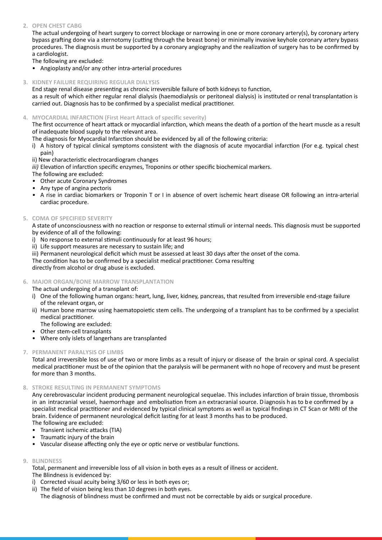#### **2. OPEN CHEST CABG**

The actual undergoing of heart surgery to correct blockage or narrowing in one or more coronary artery(s), by coronary artery bypass grafting done via a sternotomy (cutting through the breast bone) or minimally invasive keyhole coronary artery bypass procedures. The diagnosis must be supported by a coronary angiography and the realization of surgery has to be confirmed by a cardiologist.

The following are excluded:

• Angioplasty and/or any other intra-arterial procedures

#### **3. KIDNEY FAILURE REQUIRING REGULAR DIALYSIS**

End stage renal disease presenting as chronic irreversible failure of both kidneys to function, as a result of which either regular renal dialysis (haemodialysis or peritoneal dialysis) is instituted or renal transplantation is carried out. Diagnosis has to be confirmed by a specialist medical practitioner.

#### **4. MYOCARDIAL INFARCTION (First Heart Attack of specific severity)**

The first occurrence of heart attack or myocardial infarction, which means the death of a portion of the heart muscle as a result of inadequate blood supply to the relevant area.

The diagnosis for Myocardial Infarction should be evidenced by all of the following criteria:

i) A history of typical clinical symptoms consistent with the diagnosis of acute myocardial infarction (For e.g. typical chest pain)

ii) New characteristic electrocardiogram changes

*iii)* Elevation of infarction specific enzymes, Troponins or other specific biochemical markers.

The following are excluded:

- *•* Other acute Coronary Syndromes
- *•* Any type of angina pectoris
- *•* A rise in cardiac biomarkers or Troponin T or I in absence of overt ischemic heart disease OR following an intra-arterial cardiac procedure.

#### **5. COMA OF SPECIFIED SEVERITY**

A state of unconsciousness with no reaction or response to external stimuli or internal needs. This diagnosis must be supported by evidence of all of the following:

- i) No response to external stimuli continuously for at least 96 hours;
- ii) Life support measures are necessary to sustain life; and
- iii) Permanent neurological deficit which must be assessed at least 30 days after the onset of the coma.

The condition has to be confirmed by a specialist medical practitioner. Coma resulting

directly from alcohol or drug abuse is excluded.

#### **6. MAJOR ORGAN/BONE MARROW TRANSPLANTATION**

- The actual undergoing of a transplant of:
- i) One of the following human organs: heart, lung, liver, kidney, pancreas, that resulted from irreversible end-stage failure of the relevant organ, or
- ii) Human bone marrow using haematopoietic stem cells. The undergoing of a transplant has to be confirmed by a specialist medical practitioner.
- The following are excluded:
- Other stem-cell transplants
- Where only islets of langerhans are transplanted

#### **7. PERMANENT PARALYSIS OF LIMBS**

Total and irreversible loss of use of two or more limbs as a result of injury or disease of the brain or spinal cord. A specialist medical practitioner must be of the opinion that the paralysis will be permanent with no hope of recovery and must be present for more than 3 months.

#### **8. STROKE RESULTING IN PERMANENT SYMPTOMS**

Any cerebrovascular incident producing permanent neurological sequelae. This includes infarction of brain tissue, thrombosis in an intracranial vessel, haemorrhage and embolisation from a n extracranial source. Diagnosis h as to b e confirmed by a specialist medical practitioner and evidenced by typical clinical symptoms as well as typical findings in CT Scan or MRI of the brain. Evidence of permanent neurological deficit lasting for at least 3 months has to be produced.

The following are excluded:

- Transient ischemic attacks (TIA)
- Traumatic injury of the brain
- Vascular disease affecting only the eye or optic nerve or vestibular functions.

#### **9. BLINDNESS**

Total, permanent and irreversible loss of all vision in both eyes as a result of illness or accident.

The Blindness is evidenced by:

- i) Corrected visual acuity being 3/60 or less in both eyes or;
- ii) The field of vision being less than 10 degrees in both eyes. The diagnosis of blindness must be confirmed and must not be correctable by aids or surgical procedure.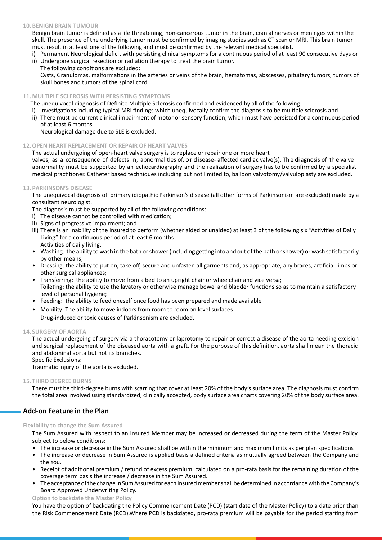#### **10.BENIGN BRAIN TUMOUR**

Benign brain tumor is defined as a life threatening, non-cancerous tumor in the brain, cranial nerves or meninges within the skull. The presence of the underlying tumor must be confirmed by imaging studies such as CT scan or MRI. This brain tumor must result in at least one of the following and must be confirmed by the relevant medical specialist.

- i) Permanent Neurological deficit with persisting clinical symptoms for a continuous period of at least 90 consecutive days or ii) Undergone surgical resection or radiation therapy to treat the brain tumor.
- The following conditions are excluded: Cysts, Granulomas, malformations in the arteries or veins of the brain, hematomas, abscesses, pituitary tumors, tumors of skull bones and tumors of the spinal cord.

#### **11.MULTIPLE SCLEROSIS WITH PERSISTING SYMPTOMS**

The unequivocal diagnosis of Definite Multiple Sclerosis confirmed and evidenced by all of the following:

- i) Investigations including typical MRI findings which unequivocally confirm the diagnosis to be multiple sclerosis and
- ii) There must be current clinical impairment of motor or sensory function, which must have persisted for a continuous period of at least 6 months.

Neurological damage due to SLE is excluded.

#### **12.OPEN HEART REPLACEMENT OR REPAIR OF HEART VALVES**

#### The actual undergoing of open-heart valve surgery is to replace or repair one or more heart

valves, as a consequence of defects in, abnormalities of, o r d isease- affected cardiac valve(s). Th e di agnosis of th e valve abnormality must be supported by an echocardiography and the realization of surgery has to be confirmed by a specialist medical practitioner. Catheter based techniques including but not limited to, balloon valvotomy/valvuloplasty are excluded.

#### **13. PARKINSON'S DISEASE**

The unequivocal diagnosis of primary idiopathic Parkinson's disease (all other forms of Parkinsonism are excluded) made by a consultant neurologist.

The diagnosis must be supported by all of the following conditions:

- i) The disease cannot be controlled with medication;
- ii) Signs of progressive impairment; and
- iii) There is an inability of the Insured to perform (whether aided or unaided) at least 3 of the following six "Activities of Daily Living" for a continuous period of at least 6 months Activities of daily living:
- Washing: the ability to wash in the bath or shower (including getting into and out of the bath or shower) or wash satisfactorily by other means;
- Dressing: the ability to put on, take off, secure and unfasten all garments and, as appropriate, any braces, artificial limbs or other surgical appliances;
- Transferring: the ability to move from a bed to an upright chair or wheelchair and vice versa; Toileting: the ability to use the lavatory or otherwise manage bowel and bladder functions so as to maintain a satisfactory level of personal hygiene;
- Feeding: the ability to feed oneself once food has been prepared and made available
- Mobility: The ability to move indoors from room to room on level surfaces

Drug-induced or toxic causes of Parkinsonism are excluded.

#### **14. SURGERY OF AORTA**

The actual undergoing of surgery via a thoracotomy or laprotomy to repair or correct a disease of the aorta needing excision and surgical replacement of the diseased aorta with a graft. For the purpose of this definition, aorta shall mean the thoracic and abdominal aorta but not its branches. Specific Exclusions:

Traumatic injury of the aorta is excluded.

#### **15. THIRD DEGREE BURNS**

There must be third-degree burns with scarring that cover at least 20% of the body's surface area. The diagnosis must confirm the total area involved using standardized, clinically accepted, body surface area charts covering 20% of the body surface area.

# **Add-on Feature in the Plan**

#### **Flexibility to change the Sum Assured**

The Sum Assured with respect to an Insured Member may be increased or decreased during the term of the Master Policy, subject to below conditions:

- The increase or decrease in the Sum Assured shall be within the minimum and maximum limits as per plan specifications
- The increase or decrease in Sum Assured is applied basis a defined criteria as mutually agreed between the Company and the You.
- Receipt of additional premium / refund of excess premium, calculated on a pro-rata basis for the remaining duration of the coverage term basis the increase / decrease in the Sum Assured.
- The acceptance of the change in Sum Assured for each Insured member shall be determined in accordance with the Company's Board Approved Underwriting Policy.

#### **Option to backdate the Master Policy**

You have the option of backdating the Policy Commencement Date (PCD) (start date of the Master Policy) to a date prior than the Risk Commencement Date (RCD).Where PCD is backdated, pro-rata premium will be payable for the period starting from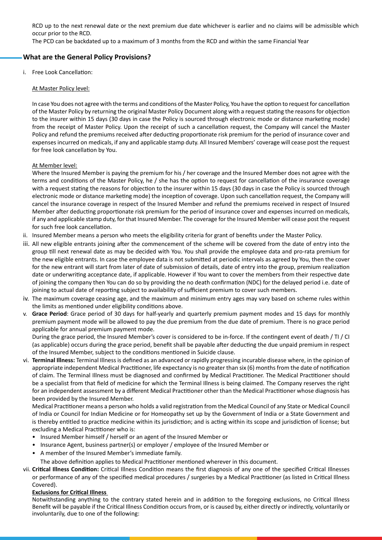RCD up to the next renewal date or the next premium due date whichever is earlier and no claims will be admissible which occur prior to the RCD.

The PCD can be backdated up to a maximum of 3 months from the RCD and within the same Financial Year

# **What are the General Policy Provisions?**

i. Free Look Cancellation:

#### At Master Policy level:

In case You does not agree with the terms and conditions of the Master Policy, You have the option to request for cancellation of the Master Policy by returning the original Master Policy Document along with a request stating the reasons for objection to the insurer within 15 days (30 days in case the Policy is sourced through electronic mode or distance marketing mode) from the receipt of Master Policy. Upon the receipt of such a cancellation request, the Company will cancel the Master Policy and refund the premiums received after deducting proportionate risk premium for the period of insurance cover and expenses incurred on medicals, if any and applicable stamp duty. All Insured Members' coverage will cease post the request for free look cancellation by You.

#### At Member level:

Where the Insured Member is paying the premium for his / her coverage and the Insured Member does not agree with the terms and conditions of the Master Policy, he / she has the option to request for cancellation of the insurance coverage with a request stating the reasons for objection to the insurer within 15 days (30 days in case the Policy is sourced through electronic mode or distance marketing mode) the inception of coverage. Upon such cancellation request, the Company will cancel the insurance coverage in respect of the Insured Member and refund the premiums received in respect of Insured Member after deducting proportionate risk premium for the period of insurance cover and expenses incurred on medicals, if any and applicable stamp duty, for that Insured Member. The coverage for the Insured Member will cease post the request for such free look cancellation.

- ii. Insured Member means a person who meets the eligibility criteria for grant of benefits under the Master Policy.
- iii. All new eligible entrants joining after the commencement of the scheme will be covered from the date of entry into the group till next renewal date as may be decided with You. You shall provide the employee data and pro-rata premium for the new eligible entrants. In case the employee data is not submitted at periodic intervals as agreed by You, then the cover for the new entrant will start from later of date of submission of details, date of entry into the group, premium realization date or underwriting acceptance date, if applicable. However if You want to cover the members from their respective date of joining the company then You can do so by providing the no death confirmation (NDC) for the delayed period i.e. date of joining to actual date of reporting subject to availability of sufficient premium to cover such members.
- iv. The maximum coverage ceasing age, and the maximum and minimum entry ages may vary based on scheme rules within the limits as mentioned under eligibility conditions above.
- v. **Grace Period**: Grace period of 30 days for half-yearly and quarterly premium payment modes and 15 days for monthly premium payment mode will be allowed to pay the due premium from the due date of premium. There is no grace period applicable for annual premium payment mode.

During the grace period, the Insured Member's cover is considered to be in-force. If the contingent event of death / TI / CI (as applicable) occurs during the grace period, benefit shall be payable after deducting the due unpaid premium in respect of the Insured Member, subject to the conditions mentioned in Suicide clause.

vi. **Terminal Illness:** Terminal Illness is defined as an advanced or rapidly progressing incurable disease where, in the opinion of appropriate independent Medical Practitioner, life expectancy is no greater than six (6) months from the date of notification of claim. The Terminal Illness must be diagnosed and confirmed by Medical Practitioner. The Medical Practitioner should be a specialist from that field of medicine for which the Terminal Illness is being claimed. The Company reserves the right for an independent assessment by a different Medical Practitioner other than the Medical Practitioner whose diagnosis has been provided by the Insured Member.

Medical Practitioner means a person who holds a valid registration from the Medical Council of any State or Medical Council of India or Council for Indian Medicine or for Homeopathy set up by the Government of India or a State Government and is thereby entitled to practice medicine within its jurisdiction; and is acting within its scope and jurisdiction of license; but excluding a Medical Practitioner who is:

- Insured Member himself / herself or an agent of the Insured Member or
- Insurance Agent, business partner(s) or employer / employee of the Insured Member or
- A member of the Insured Member's immediate family.

The above definition applies to Medical Practitioner mentioned wherever in this document.

vii. **Critical Illness Condition:** Critical Illness Condition means the first diagnosis of any one of the specified Critical Illnesses or performance of any of the specified medical procedures / surgeries by a Medical Practitioner (as listed in Critical Illness Covered).

#### **Exclusions for Critical Illness**

Notwithstanding anything to the contrary stated herein and in addition to the foregoing exclusions, no Critical Illness Benefit will be payable if the Critical Illness Condition occurs from, or is caused by, either directly or indirectly, voluntarily or involuntarily, due to one of the following: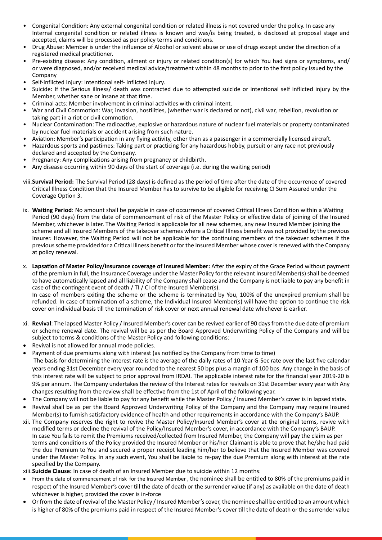- Congenital Condition: Any external congenital condition or related illness is not covered under the policy. In case any Internal congenital condition or related illness is known and was/is being treated, is disclosed at proposal stage and accepted, claims will be processed as per policy terms and conditions.
- Drug Abuse: Member is under the influence of Alcohol or solvent abuse or use of drugs except under the direction of a registered medical practitioner.
- Pre-existing disease: Any condition, ailment or injury or related condition(s) for which You had signs or symptoms, and/ or were diagnosed, and/or received medical advice/treatment within 48 months to prior to the first policy issued by the Company
- Self-inflicted Injury: Intentional self- Inflicted injury.
- Suicide: If the Serious illness/ death was contracted due to attempted suicide or intentional self inflicted injury by the Member, whether sane or insane at that time.
- Criminal acts: Member involvement in criminal activities with criminal intent.
- War and Civil Commotion: War, invasion, hostilities, (whether war is declared or not), civil war, rebellion, revolution or taking part in a riot or civil commotion.
- Nuclear Contamination: The radioactive, explosive or hazardous nature of nuclear fuel materials or property contaminated by nuclear fuel materials or accident arising from such nature.
- Aviation: Member's participation in any flying activity, other than as a passenger in a commercially licensed aircraft.
- Hazardous sports and pastimes: Taking part or practicing for any hazardous hobby, pursuit or any race not previously declared and accepted by the Company.
- Pregnancy: Any complications arising from pregnancy or childbirth.
- Any disease occurring within 90 days of the start of coverage (i.e. during the waiting period)
- viii.**Survival Period:** The Survival Period (28 days) is defined as the period of time after the date of the occurrence of covered Critical Illness Condition that the Insured Member has to survive to be eligible for receiving CI Sum Assured under the Coverage Option 3.
- ix. **Waiting Period**: No amount shall be payable in case of occurrence of covered Critical Illness Condition within a Waiting Period (90 days) from the date of commencement of risk of the Master Policy or effective date of joining of the Insured Member, whichever is later. The Waiting Period is applicable for all new schemes, any new Insured Member joining the scheme and all Insured Members of the takeover schemes where a Critical Illness benefit was not provided by the previous Insurer. However, the Waiting Period will not be applicable for the continuing members of the takeover schemes if the previous scheme provided for a Critical Illness benefit or for the Insured Member whose cover is renewed with the Company at policy renewal.
- x. **Lapsation of Master Policy/insurance coverage of Insured Member:** After the expiry of the Grace Period without payment of the premium in full, the Insurance Coverage under the Master Policy for the relevant Insured Member(s) shall be deemed to have automatically lapsed and all liability of the Company shall cease and the Company is not liable to pay any benefit in case of the contingent event of death / TI / CI of the Insured Member(s). In case of members exiting the scheme or the scheme is terminated by You, 100% of the unexpired premium shall be refunded. In case of termination of a scheme, the Individual Insured Member(s) will have the option to continue the risk
- xi. **Revival**: The lapsed Master Policy / Insured Member's cover can be revived earlier of 90 days from the due date of premium or scheme renewal date. The revival will be as per the Board Approved Underwriting Policy of the Company and will be subject to terms & conditions of the Master Policy and following conditions:

cover on individual basis till the termination of risk cover or next annual renewal date whichever is earlier.

- Revival is not allowed for annual mode policies.
- Payment of due premiums along with interest (as notified by the Company from time to time) The basis for determining the interest rate is the average of the daily rates of 10-Year G-Sec rate over the last five calendar years ending 31st December every year rounded to the nearest 50 bps plus a margin of 100 bps. Any change in the basis of this interest rate will be subject to prior approval from IRDAI. The applicable interest rate for the financial year 2019-20 is 9% per annum. The Company undertakes the review of the Interest rates for revivals on 31st December every year with Any changes resulting from the review shall be effective from the 1st of April of the following year.
- The Company will not be liable to pay for any benefit while the Master Policy / Insured Member's cover is in lapsed state.
- Revival shall be as per the Board Approved Underwriting Policy of the Company and the Company may require Insured Member(s) to furnish satisfactory evidence of health and other requirements in accordance with the Company's BAUP.
- xii. The Company reserves the right to revive the Master Policy/Insured Member's cover at the original terms, revive with modified terms or decline the revival of the Policy/Insured Member's cover, in accordance with the Company's BAUP. In case You fails to remit the Premiums received/collected from Insured Member, the Company will pay the claim as per terms and conditions of the Policy provided the Insured Member or his/her Claimant is able to prove that he/she had paid the due Premium to You and secured a proper receipt leading him/her to believe that the Insured Member was covered under the Master Policy. In any such event, You shall be liable to re-pay the due Premium along with interest at the rate specified by the Company.
- xiii.**Suicide Clause:** In case of death of an Insured Member due to suicide within 12 months:
- From the date of commencement of risk for the Insured Member , the nominee shall be entitled to 80% of the premiums paid in respect of the Insured Member's cover till the date of death or the surrender value (if any) as available on the date of death whichever is higher, provided the cover is in-force
- Or from the date of revival of the Master Policy / Insured Member's cover, the nominee shall be entitled to an amount which is higher of 80% of the premiums paid in respect of the Insured Member's cover till the date of death or the surrender value